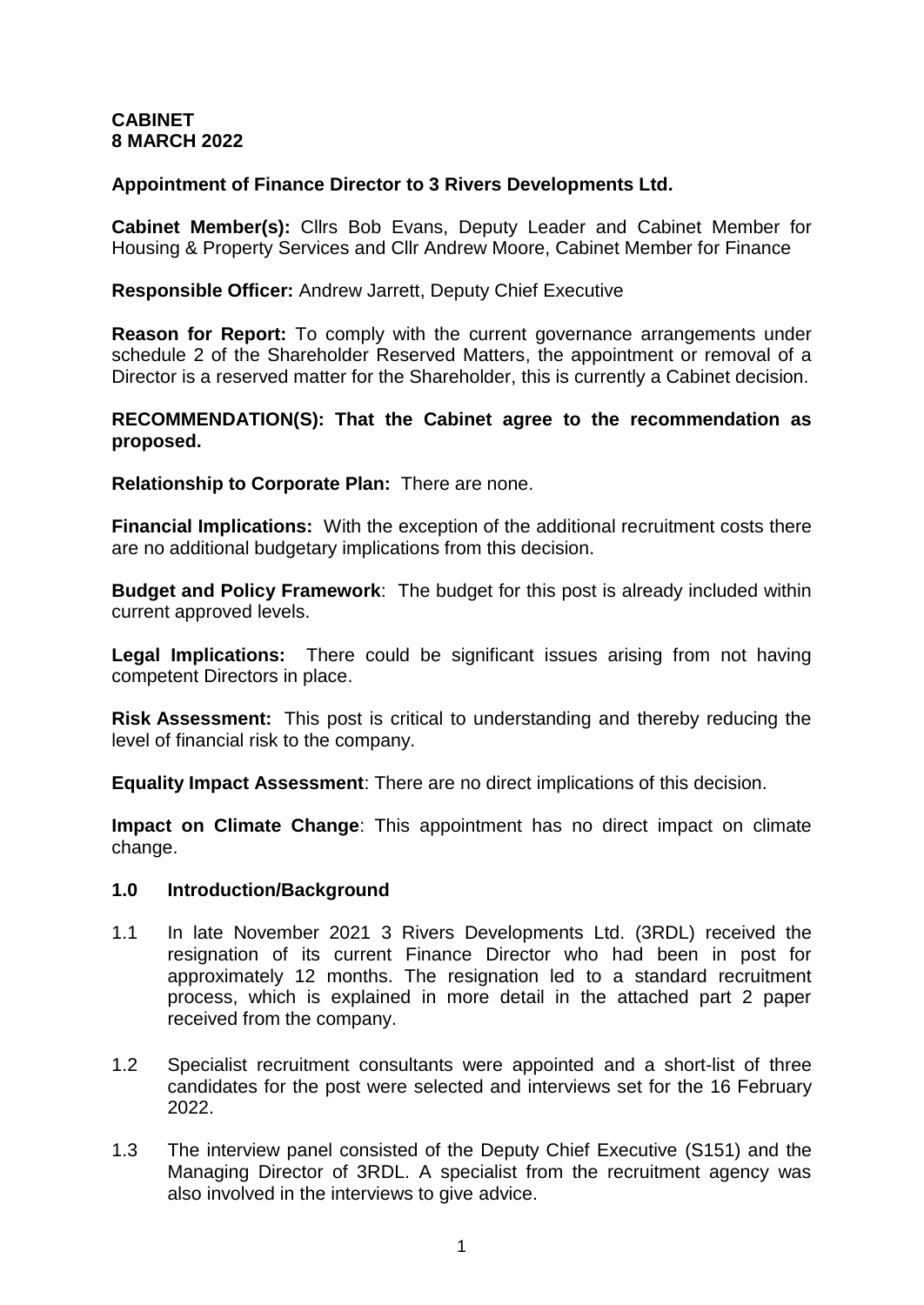# **CABINET 8 MARCH 2022**

# **Appointment of Finance Director to 3 Rivers Developments Ltd.**

**Cabinet Member(s):** Cllrs Bob Evans, Deputy Leader and Cabinet Member for Housing & Property Services and Cllr Andrew Moore, Cabinet Member for Finance

### **Responsible Officer:** Andrew Jarrett, Deputy Chief Executive

**Reason for Report:** To comply with the current governance arrangements under schedule 2 of the Shareholder Reserved Matters, the appointment or removal of a Director is a reserved matter for the Shareholder, this is currently a Cabinet decision.

### **RECOMMENDATION(S): That the Cabinet agree to the recommendation as proposed.**

**Relationship to Corporate Plan:** There are none.

**Financial Implications:** With the exception of the additional recruitment costs there are no additional budgetary implications from this decision.

**Budget and Policy Framework**: The budget for this post is already included within current approved levels.

**Legal Implications:** There could be significant issues arising from not having competent Directors in place.

**Risk Assessment:** This post is critical to understanding and thereby reducing the level of financial risk to the company.

**Equality Impact Assessment**: There are no direct implications of this decision.

**Impact on Climate Change**: This appointment has no direct impact on climate change.

### **1.0 Introduction/Background**

- 1.1 In late November 2021 3 Rivers Developments Ltd. (3RDL) received the resignation of its current Finance Director who had been in post for approximately 12 months. The resignation led to a standard recruitment process, which is explained in more detail in the attached part 2 paper received from the company.
- 1.2 Specialist recruitment consultants were appointed and a short-list of three candidates for the post were selected and interviews set for the 16 February 2022.
- 1.3 The interview panel consisted of the Deputy Chief Executive (S151) and the Managing Director of 3RDL. A specialist from the recruitment agency was also involved in the interviews to give advice.